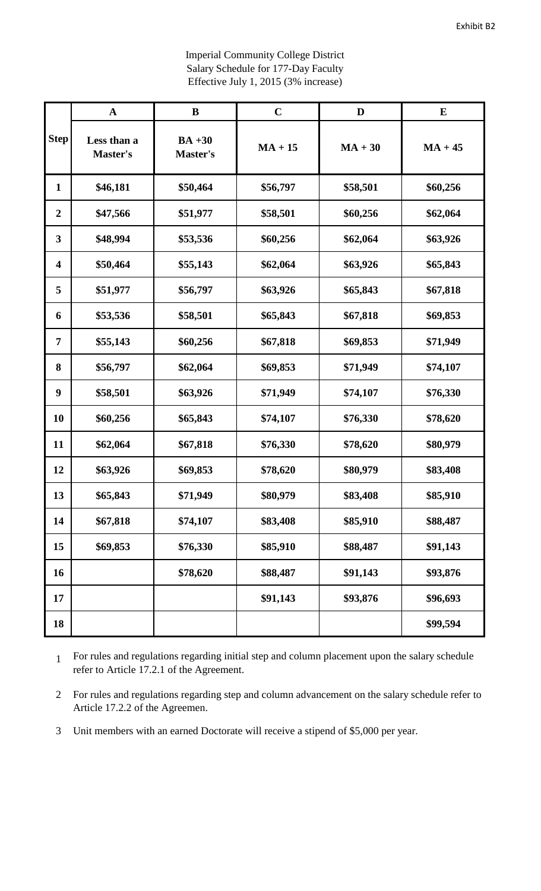|                         | $\mathbf A$             | $\bf{B}$                    | $\mathbf C$ | D         | ${\bf E}$ |
|-------------------------|-------------------------|-----------------------------|-------------|-----------|-----------|
| <b>Step</b>             | Less than a<br>Master's | $BA +30$<br><b>Master's</b> | $MA + 15$   | $MA + 30$ | $MA + 45$ |
| $\mathbf{1}$            | \$46,181                | \$50,464                    | \$56,797    | \$58,501  | \$60,256  |
| $\boldsymbol{2}$        | \$47,566                | \$51,977                    | \$58,501    | \$60,256  | \$62,064  |
| $\overline{\mathbf{3}}$ | \$48,994                | \$53,536                    | \$60,256    | \$62,064  | \$63,926  |
| $\overline{\mathbf{4}}$ | \$50,464                | \$55,143                    | \$62,064    | \$63,926  | \$65,843  |
| 5                       | \$51,977                | \$56,797                    | \$63,926    | \$65,843  | \$67,818  |
| 6                       | \$53,536                | \$58,501                    | \$65,843    | \$67,818  | \$69,853  |
| 7                       | \$55,143                | \$60,256                    | \$67,818    | \$69,853  | \$71,949  |
| 8                       | \$56,797                | \$62,064                    | \$69,853    | \$71,949  | \$74,107  |
| $\boldsymbol{9}$        | \$58,501                | \$63,926                    | \$71,949    | \$74,107  | \$76,330  |
| 10                      | \$60,256                | \$65,843                    | \$74,107    | \$76,330  | \$78,620  |
| 11                      | \$62,064                | \$67,818                    | \$76,330    | \$78,620  | \$80,979  |
| 12                      | \$63,926                | \$69,853                    | \$78,620    | \$80,979  | \$83,408  |
| 13                      | \$65,843                | \$71,949                    | \$80,979    | \$83,408  | \$85,910  |
| 14                      | \$67,818                | \$74,107                    | \$83,408    | \$85,910  | \$88,487  |
| 15                      | \$69,853                | \$76,330                    | \$85,910    | \$88,487  | \$91,143  |
| 16                      |                         | \$78,620                    | \$88,487    | \$91,143  | \$93,876  |
| 17                      |                         |                             | \$91,143    | \$93,876  | \$96,693  |
| 18                      |                         |                             |             |           | \$99,594  |

Imperial Community College District Salary Schedule for 177-Day Faculty Effective July 1, 2015 (3% increase)

 For rules and regulations regarding initial step and column placement upon the salary schedule refer to Article 17.2.1 of the Agreement.

 For rules and regulations regarding step and column advancement on the salary schedule refer to Article 17.2.2 of the Agreemen.

Unit members with an earned Doctorate will receive a stipend of \$5,000 per year.